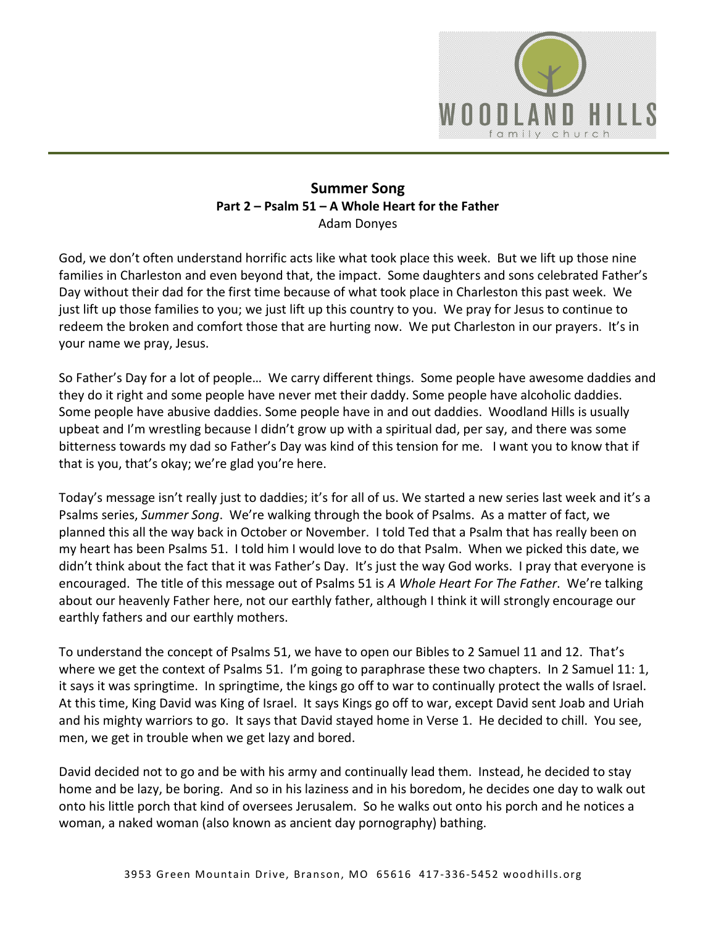

### **Summer Song Part 2 – Psalm 51 – A Whole Heart for the Father**  Adam Donyes

God, we don't often understand horrific acts like what took place this week. But we lift up those nine families in Charleston and even beyond that, the impact. Some daughters and sons celebrated Father's Day without their dad for the first time because of what took place in Charleston this past week. We just lift up those families to you; we just lift up this country to you. We pray for Jesus to continue to redeem the broken and comfort those that are hurting now. We put Charleston in our prayers. It's in your name we pray, Jesus.

So Father's Day for a lot of people… We carry different things. Some people have awesome daddies and they do it right and some people have never met their daddy. Some people have alcoholic daddies. Some people have abusive daddies. Some people have in and out daddies. Woodland Hills is usually upbeat and I'm wrestling because I didn't grow up with a spiritual dad, per say, and there was some bitterness towards my dad so Father's Day was kind of this tension for me. I want you to know that if that is you, that's okay; we're glad you're here.

Today's message isn't really just to daddies; it's for all of us. We started a new series last week and it's a Psalms series, *Summer Song*. We're walking through the book of Psalms. As a matter of fact, we planned this all the way back in October or November. I told Ted that a Psalm that has really been on my heart has been Psalms 51. I told him I would love to do that Psalm. When we picked this date, we didn't think about the fact that it was Father's Day. It's just the way God works. I pray that everyone is encouraged. The title of this message out of Psalms 51 is *A Whole Heart For The Father*. We're talking about our heavenly Father here, not our earthly father, although I think it will strongly encourage our earthly fathers and our earthly mothers.

To understand the concept of Psalms 51, we have to open our Bibles to 2 Samuel 11 and 12. That's where we get the context of Psalms 51. I'm going to paraphrase these two chapters. In 2 Samuel 11: 1, it says it was springtime. In springtime, the kings go off to war to continually protect the walls of Israel. At this time, King David was King of Israel. It says Kings go off to war, except David sent Joab and Uriah and his mighty warriors to go. It says that David stayed home in Verse 1. He decided to chill. You see, men, we get in trouble when we get lazy and bored.

David decided not to go and be with his army and continually lead them. Instead, he decided to stay home and be lazy, be boring. And so in his laziness and in his boredom, he decides one day to walk out onto his little porch that kind of oversees Jerusalem. So he walks out onto his porch and he notices a woman, a naked woman (also known as ancient day pornography) bathing.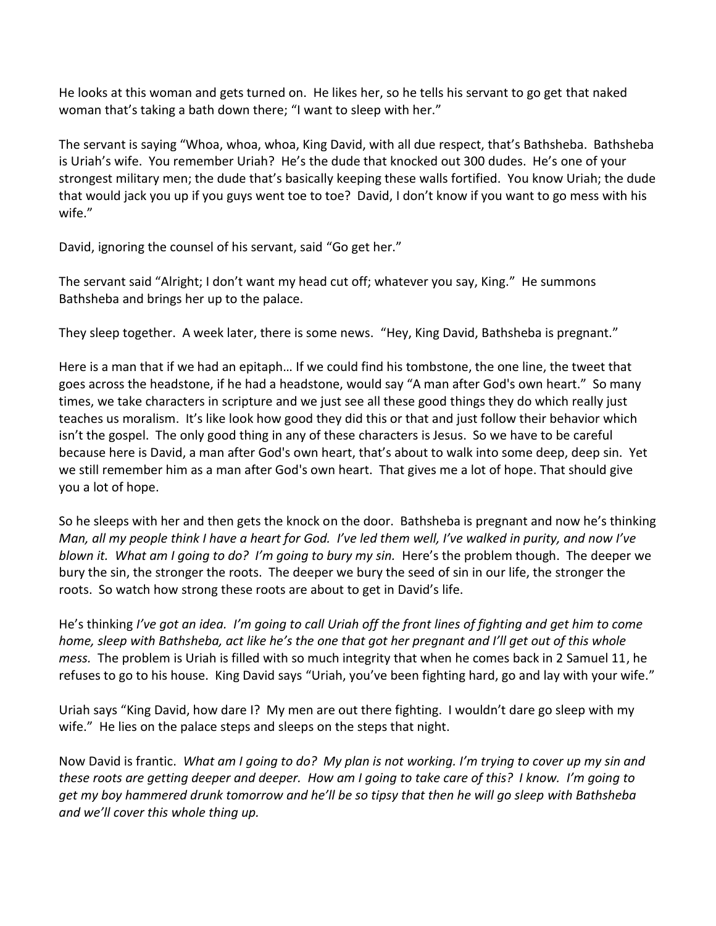He looks at this woman and gets turned on. He likes her, so he tells his servant to go get that naked woman that's taking a bath down there; "I want to sleep with her."

The servant is saying "Whoa, whoa, whoa, King David, with all due respect, that's Bathsheba. Bathsheba is Uriah's wife. You remember Uriah? He's the dude that knocked out 300 dudes. He's one of your strongest military men; the dude that's basically keeping these walls fortified. You know Uriah; the dude that would jack you up if you guys went toe to toe? David, I don't know if you want to go mess with his wife."

David, ignoring the counsel of his servant, said "Go get her."

The servant said "Alright; I don't want my head cut off; whatever you say, King." He summons Bathsheba and brings her up to the palace.

They sleep together. A week later, there is some news. "Hey, King David, Bathsheba is pregnant."

Here is a man that if we had an epitaph… If we could find his tombstone, the one line, the tweet that goes across the headstone, if he had a headstone, would say "A man after God's own heart." So many times, we take characters in scripture and we just see all these good things they do which really just teaches us moralism. It's like look how good they did this or that and just follow their behavior which isn't the gospel. The only good thing in any of these characters is Jesus. So we have to be careful because here is David, a man after God's own heart, that's about to walk into some deep, deep sin. Yet we still remember him as a man after God's own heart. That gives me a lot of hope. That should give you a lot of hope.

So he sleeps with her and then gets the knock on the door. Bathsheba is pregnant and now he's thinking *Man, all my people think I have a heart for God. I've led them well, I've walked in purity, and now I've blown it. What am I going to do? I'm going to bury my sin.* Here's the problem though. The deeper we bury the sin, the stronger the roots. The deeper we bury the seed of sin in our life, the stronger the roots. So watch how strong these roots are about to get in David's life.

He's thinking *I've got an idea. I'm going to call Uriah off the front lines of fighting and get him to come home, sleep with Bathsheba, act like he's the one that got her pregnant and I'll get out of this whole mess.* The problem is Uriah is filled with so much integrity that when he comes back in 2 Samuel 11, he refuses to go to his house. King David says "Uriah, you've been fighting hard, go and lay with your wife."

Uriah says "King David, how dare I? My men are out there fighting. I wouldn't dare go sleep with my wife." He lies on the palace steps and sleeps on the steps that night.

Now David is frantic. *What am I going to do? My plan is not working. I'm trying to cover up my sin and these roots are getting deeper and deeper. How am I going to take care of this? I know. I'm going to get my boy hammered drunk tomorrow and he'll be so tipsy that then he will go sleep with Bathsheba and we'll cover this whole thing up.*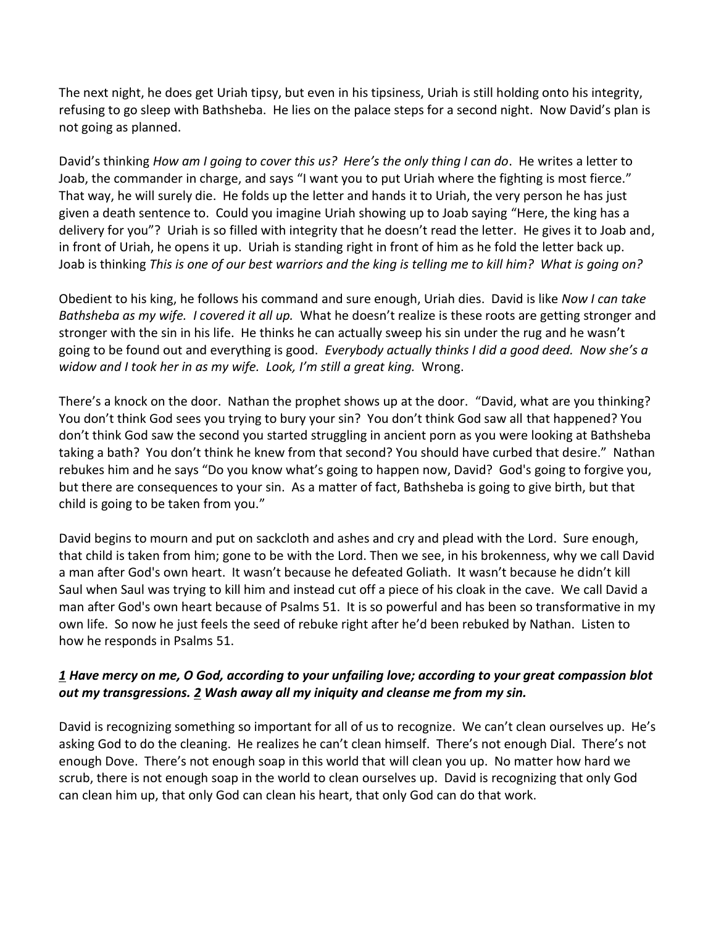The next night, he does get Uriah tipsy, but even in his tipsiness, Uriah is still holding onto his integrity, refusing to go sleep with Bathsheba. He lies on the palace steps for a second night. Now David's plan is not going as planned.

David's thinking *How am I going to cover this us? Here's the only thing I can do*. He writes a letter to Joab, the commander in charge, and says "I want you to put Uriah where the fighting is most fierce." That way, he will surely die. He folds up the letter and hands it to Uriah, the very person he has just given a death sentence to. Could you imagine Uriah showing up to Joab saying "Here, the king has a delivery for you"? Uriah is so filled with integrity that he doesn't read the letter. He gives it to Joab and, in front of Uriah, he opens it up. Uriah is standing right in front of him as he fold the letter back up. Joab is thinking *This is one of our best warriors and the king is telling me to kill him? What is going on?*

Obedient to his king, he follows his command and sure enough, Uriah dies. David is like *Now I can take Bathsheba as my wife. I covered it all up.* What he doesn't realize is these roots are getting stronger and stronger with the sin in his life. He thinks he can actually sweep his sin under the rug and he wasn't going to be found out and everything is good. *Everybody actually thinks I did a good deed. Now she's a widow and I took her in as my wife. Look, I'm still a great king.* Wrong.

There's a knock on the door. Nathan the prophet shows up at the door. "David, what are you thinking? You don't think God sees you trying to bury your sin? You don't think God saw all that happened? You don't think God saw the second you started struggling in ancient porn as you were looking at Bathsheba taking a bath? You don't think he knew from that second? You should have curbed that desire." Nathan rebukes him and he says "Do you know what's going to happen now, David? God's going to forgive you, but there are consequences to your sin. As a matter of fact, Bathsheba is going to give birth, but that child is going to be taken from you."

David begins to mourn and put on sackcloth and ashes and cry and plead with the Lord. Sure enough, that child is taken from him; gone to be with the Lord. Then we see, in his brokenness, why we call David a man after God's own heart. It wasn't because he defeated Goliath. It wasn't because he didn't kill Saul when Saul was trying to kill him and instead cut off a piece of his cloak in the cave. We call David a man after God's own heart because of Psalms 51. It is so powerful and has been so transformative in my own life. So now he just feels the seed of rebuke right after he'd been rebuked by Nathan. Listen to how he responds in Psalms 51.

### *[1](http://www.studylight.org/desk/?q=ps%2051:1&t1=en_niv&sr=1) Have mercy on me, O God, according to your unfailing love; according to your great compassion blot out my transgressions. [2](http://www.studylight.org/desk/?q=ps%2051:2&t1=en_niv&sr=1) Wash away all my iniquity and cleanse me from my sin.*

David is recognizing something so important for all of us to recognize. We can't clean ourselves up. He's asking God to do the cleaning. He realizes he can't clean himself. There's not enough Dial. There's not enough Dove. There's not enough soap in this world that will clean you up. No matter how hard we scrub, there is not enough soap in the world to clean ourselves up. David is recognizing that only God can clean him up, that only God can clean his heart, that only God can do that work.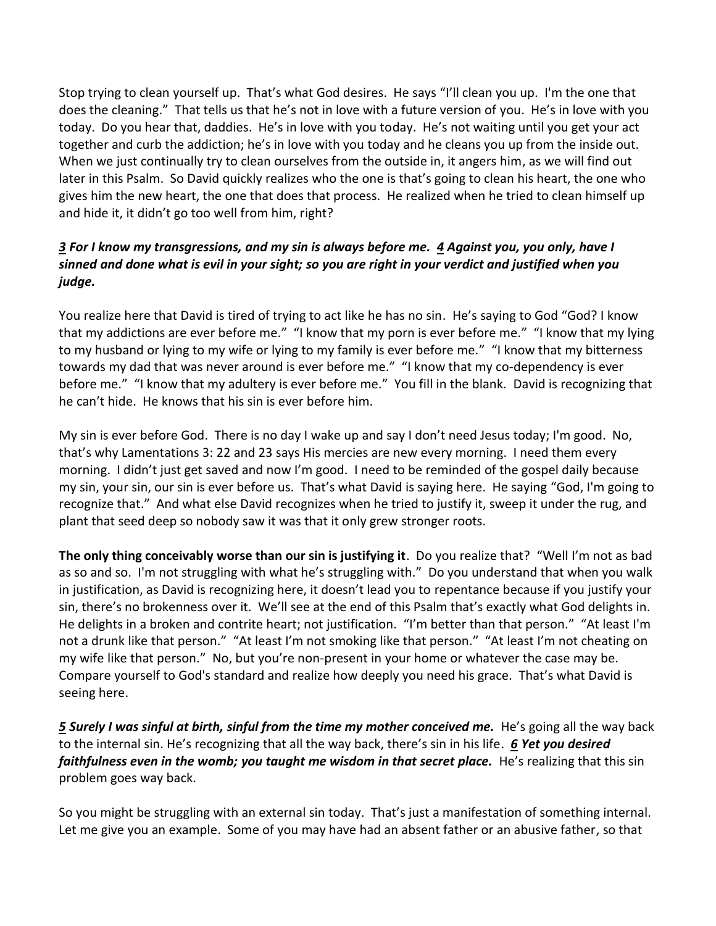Stop trying to clean yourself up. That's what God desires. He says "I'll clean you up. I'm the one that does the cleaning." That tells us that he's not in love with a future version of you. He's in love with you today. Do you hear that, daddies. He's in love with you today. He's not waiting until you get your act together and curb the addiction; he's in love with you today and he cleans you up from the inside out. When we just continually try to clean ourselves from the outside in, it angers him, as we will find out later in this Psalm. So David quickly realizes who the one is that's going to clean his heart, the one who gives him the new heart, the one that does that process. He realized when he tried to clean himself up and hide it, it didn't go too well from him, right?

## *[3](http://www.studylight.org/desk/?q=ps%2051:3&t1=en_niv&sr=1) For I know my transgressions, and my sin is always before me. [4](http://www.studylight.org/desk/?q=ps%2051:4&t1=en_niv&sr=1) Against you, you only, have I sinned and done what is evil in your sight; so you are right in your verdict and justified when you judge.*

You realize here that David is tired of trying to act like he has no sin. He's saying to God "God? I know that my addictions are ever before me." "I know that my porn is ever before me." "I know that my lying to my husband or lying to my wife or lying to my family is ever before me." "I know that my bitterness towards my dad that was never around is ever before me." "I know that my co-dependency is ever before me." "I know that my adultery is ever before me." You fill in the blank. David is recognizing that he can't hide. He knows that his sin is ever before him.

My sin is ever before God. There is no day I wake up and say I don't need Jesus today; I'm good. No, that's why Lamentations 3: 22 and 23 says His mercies are new every morning. I need them every morning. I didn't just get saved and now I'm good. I need to be reminded of the gospel daily because my sin, your sin, our sin is ever before us. That's what David is saying here. He saying "God, I'm going to recognize that." And what else David recognizes when he tried to justify it, sweep it under the rug, and plant that seed deep so nobody saw it was that it only grew stronger roots.

**The only thing conceivably worse than our sin is justifying it**. Do you realize that? "Well I'm not as bad as so and so. I'm not struggling with what he's struggling with." Do you understand that when you walk in justification, as David is recognizing here, it doesn't lead you to repentance because if you justify your sin, there's no brokenness over it. We'll see at the end of this Psalm that's exactly what God delights in. He delights in a broken and contrite heart; not justification. "I'm better than that person." "At least I'm not a drunk like that person." "At least I'm not smoking like that person." "At least I'm not cheating on my wife like that person." No, but you're non-present in your home or whatever the case may be. Compare yourself to God's standard and realize how deeply you need his grace. That's what David is seeing here.

**[5](http://www.studylight.org/desk/?q=ps%2051:5&t1=en_niv&sr=1) Surely I was sinful at birth, sinful from the time my mother conceived me.** He's going all the way back to the internal sin. He's recognizing that all the way back, there's sin in his life. *[6](http://www.studylight.org/desk/?q=ps%2051:6&t1=en_niv&sr=1) Yet you desired faithfulness even in the womb; you taught me wisdom in that secret place.* He's realizing that this sin problem goes way back.

So you might be struggling with an external sin today. That's just a manifestation of something internal. Let me give you an example. Some of you may have had an absent father or an abusive father, so that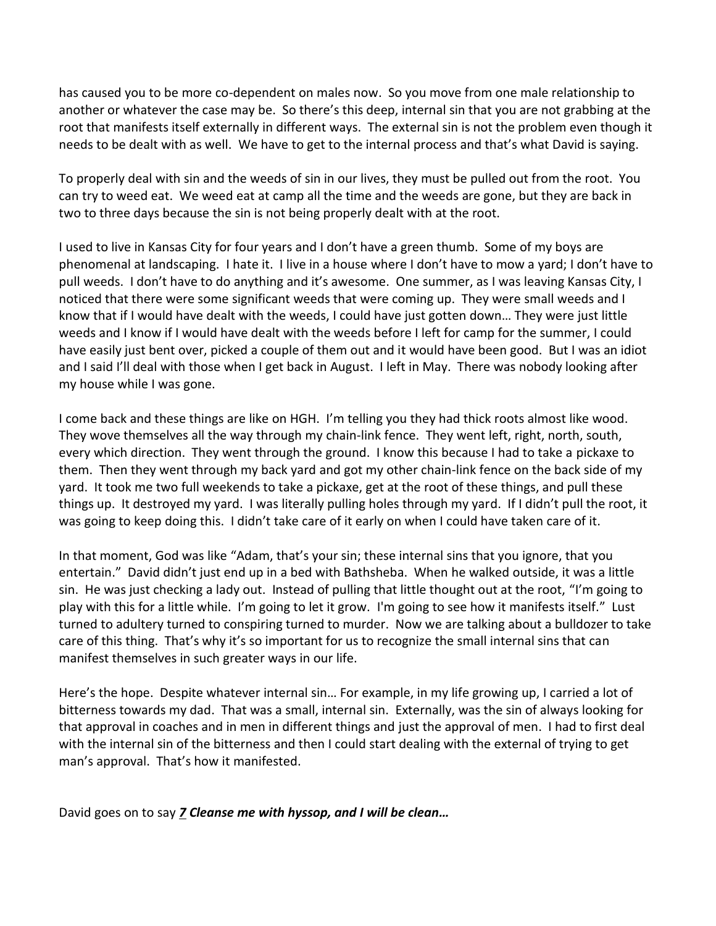has caused you to be more co-dependent on males now. So you move from one male relationship to another or whatever the case may be. So there's this deep, internal sin that you are not grabbing at the root that manifests itself externally in different ways. The external sin is not the problem even though it needs to be dealt with as well. We have to get to the internal process and that's what David is saying.

To properly deal with sin and the weeds of sin in our lives, they must be pulled out from the root. You can try to weed eat. We weed eat at camp all the time and the weeds are gone, but they are back in two to three days because the sin is not being properly dealt with at the root.

I used to live in Kansas City for four years and I don't have a green thumb. Some of my boys are phenomenal at landscaping. I hate it. I live in a house where I don't have to mow a yard; I don't have to pull weeds. I don't have to do anything and it's awesome. One summer, as I was leaving Kansas City, I noticed that there were some significant weeds that were coming up. They were small weeds and I know that if I would have dealt with the weeds, I could have just gotten down… They were just little weeds and I know if I would have dealt with the weeds before I left for camp for the summer, I could have easily just bent over, picked a couple of them out and it would have been good. But I was an idiot and I said I'll deal with those when I get back in August. I left in May. There was nobody looking after my house while I was gone.

I come back and these things are like on HGH. I'm telling you they had thick roots almost like wood. They wove themselves all the way through my chain-link fence. They went left, right, north, south, every which direction. They went through the ground. I know this because I had to take a pickaxe to them. Then they went through my back yard and got my other chain-link fence on the back side of my yard. It took me two full weekends to take a pickaxe, get at the root of these things, and pull these things up. It destroyed my yard. I was literally pulling holes through my yard. If I didn't pull the root, it was going to keep doing this. I didn't take care of it early on when I could have taken care of it.

In that moment, God was like "Adam, that's your sin; these internal sins that you ignore, that you entertain." David didn't just end up in a bed with Bathsheba. When he walked outside, it was a little sin. He was just checking a lady out. Instead of pulling that little thought out at the root, "I'm going to play with this for a little while. I'm going to let it grow. I'm going to see how it manifests itself." Lust turned to adultery turned to conspiring turned to murder. Now we are talking about a bulldozer to take care of this thing. That's why it's so important for us to recognize the small internal sins that can manifest themselves in such greater ways in our life.

Here's the hope. Despite whatever internal sin… For example, in my life growing up, I carried a lot of bitterness towards my dad. That was a small, internal sin. Externally, was the sin of always looking for that approval in coaches and in men in different things and just the approval of men. I had to first deal with the internal sin of the bitterness and then I could start dealing with the external of trying to get man's approval. That's how it manifested.

David goes on to say *[7](http://www.studylight.org/desk/?q=ps%2051:7&t1=en_niv&sr=1) Cleanse me with hyssop, and I will be clean…*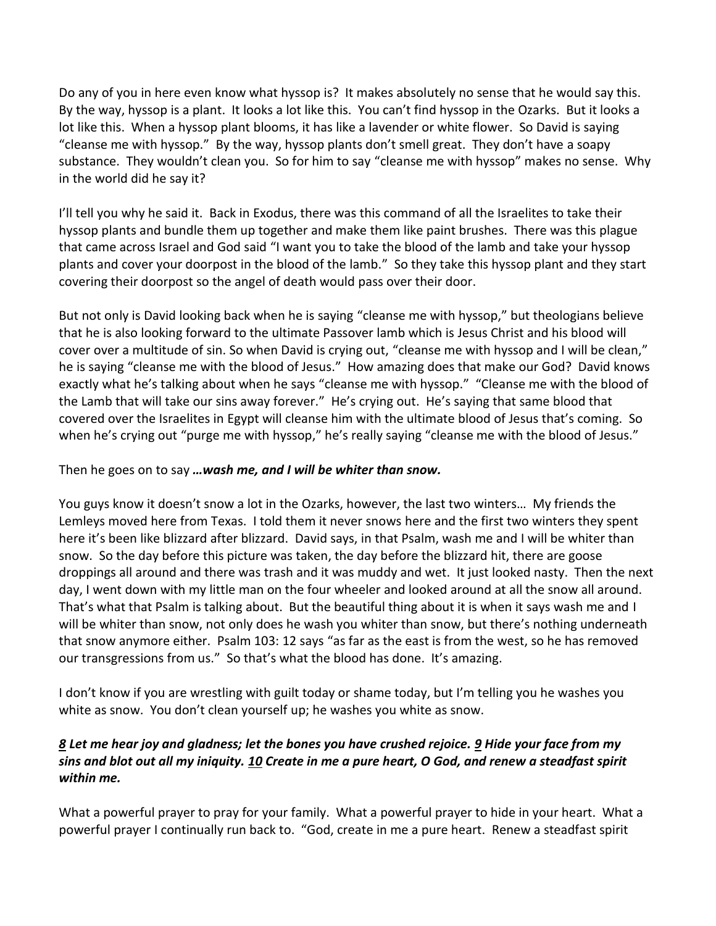Do any of you in here even know what hyssop is? It makes absolutely no sense that he would say this. By the way, hyssop is a plant. It looks a lot like this. You can't find hyssop in the Ozarks. But it looks a lot like this. When a hyssop plant blooms, it has like a lavender or white flower. So David is saying "cleanse me with hyssop." By the way, hyssop plants don't smell great. They don't have a soapy substance. They wouldn't clean you. So for him to say "cleanse me with hyssop" makes no sense. Why in the world did he say it?

I'll tell you why he said it. Back in Exodus, there was this command of all the Israelites to take their hyssop plants and bundle them up together and make them like paint brushes. There was this plague that came across Israel and God said "I want you to take the blood of the lamb and take your hyssop plants and cover your doorpost in the blood of the lamb." So they take this hyssop plant and they start covering their doorpost so the angel of death would pass over their door.

But not only is David looking back when he is saying "cleanse me with hyssop," but theologians believe that he is also looking forward to the ultimate Passover lamb which is Jesus Christ and his blood will cover over a multitude of sin. So when David is crying out, "cleanse me with hyssop and I will be clean," he is saying "cleanse me with the blood of Jesus." How amazing does that make our God? David knows exactly what he's talking about when he says "cleanse me with hyssop." "Cleanse me with the blood of the Lamb that will take our sins away forever." He's crying out. He's saying that same blood that covered over the Israelites in Egypt will cleanse him with the ultimate blood of Jesus that's coming. So when he's crying out "purge me with hyssop," he's really saying "cleanse me with the blood of Jesus."

### Then he goes on to say *…wash me, and I will be whiter than snow.*

You guys know it doesn't snow a lot in the Ozarks, however, the last two winters… My friends the Lemleys moved here from Texas. I told them it never snows here and the first two winters they spent here it's been like blizzard after blizzard. David says, in that Psalm, wash me and I will be whiter than snow. So the day before this picture was taken, the day before the blizzard hit, there are goose droppings all around and there was trash and it was muddy and wet. It just looked nasty. Then the next day, I went down with my little man on the four wheeler and looked around at all the snow all around. That's what that Psalm is talking about. But the beautiful thing about it is when it says wash me and I will be whiter than snow, not only does he wash you whiter than snow, but there's nothing underneath that snow anymore either. Psalm 103: 12 says "as far as the east is from the west, so he has removed our transgressions from us." So that's what the blood has done. It's amazing.

I don't know if you are wrestling with guilt today or shame today, but I'm telling you he washes you white as snow. You don't clean yourself up; he washes you white as snow.

## *[8](http://www.studylight.org/desk/?q=ps%2051:8&t1=en_niv&sr=1) Let me hear joy and gladness; let the bones you have crushed rejoice. [9](http://www.studylight.org/desk/?q=ps%2051:9&t1=en_niv&sr=1) Hide your face from my sins and blot out all my iniquity. [10](http://www.studylight.org/desk/?q=ps%2051:10&t1=en_niv&sr=1) Create in me a pure heart, O God, and renew a steadfast spirit within me.*

What a powerful prayer to pray for your family. What a powerful prayer to hide in your heart. What a powerful prayer I continually run back to. "God, create in me a pure heart. Renew a steadfast spirit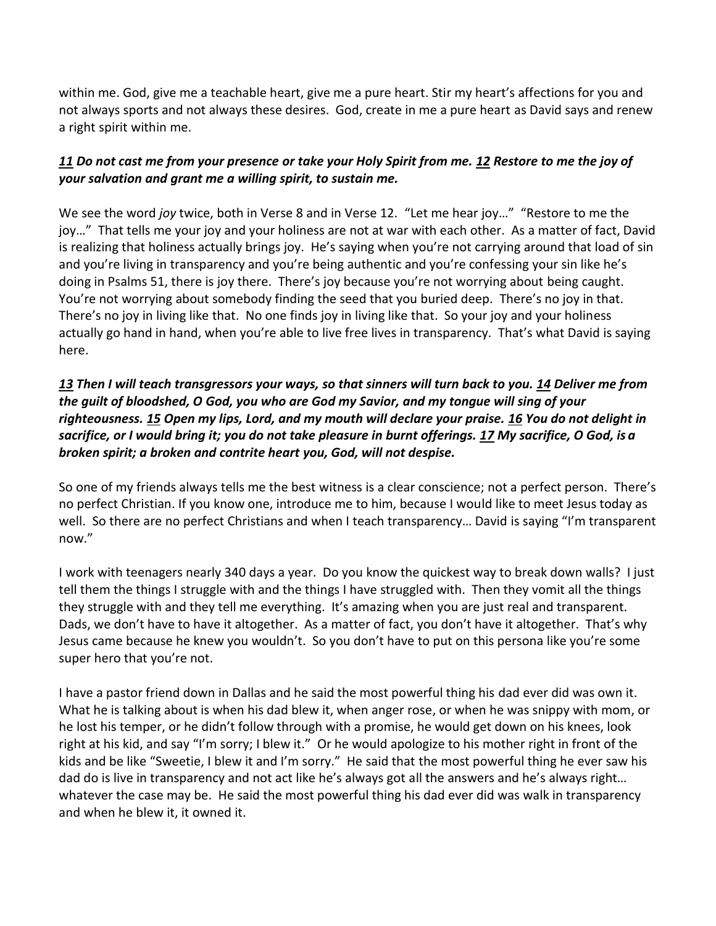within me. God, give me a teachable heart, give me a pure heart. Stir my heart's affections for you and not always sports and not always these desires. God, create in me a pure heart as David says and renew a right spirit within me.

# *[11](http://www.studylight.org/desk/?q=ps%2051:11&t1=en_niv&sr=1) Do not cast me from your presence or take your Holy Spirit from me. [12](http://www.studylight.org/desk/?q=ps%2051:12&t1=en_niv&sr=1) Restore to me the joy of your salvation and grant me a willing spirit, to sustain me.*

We see the word *joy* twice, both in Verse 8 and in Verse 12. "Let me hear joy…" "Restore to me the joy…" That tells me your joy and your holiness are not at war with each other. As a matter of fact, David is realizing that holiness actually brings joy. He's saying when you're not carrying around that load of sin and you're living in transparency and you're being authentic and you're confessing your sin like he's doing in Psalms 51, there is joy there. There's joy because you're not worrying about being caught. You're not worrying about somebody finding the seed that you buried deep. There's no joy in that. There's no joy in living like that. No one finds joy in living like that. So your joy and your holiness actually go hand in hand, when you're able to live free lives in transparency. That's what David is saying here.

## *[13](http://www.studylight.org/desk/?q=ps%2051:13&t1=en_niv&sr=1) Then I will teach transgressors your ways, so that sinners will turn back to you[. 14](http://www.studylight.org/desk/?q=ps%2051:14&t1=en_niv&sr=1) Deliver me from the guilt of bloodshed, O God, you who are God my Savior, and my tongue will sing of your righteousness. [15](http://www.studylight.org/desk/?q=ps%2051:15&t1=en_niv&sr=1) Open my lips, Lord, and my mouth will declare your praise. [16](http://www.studylight.org/desk/?q=ps%2051:16&t1=en_niv&sr=1) You do not delight in sacrifice, or I would bring it; you do not take pleasure in burnt offerings. [17](http://www.studylight.org/desk/?q=ps%2051:17&t1=en_niv&sr=1) My sacrifice, O God, is a broken spirit; a broken and contrite heart you, God, will not despise.*

So one of my friends always tells me the best witness is a clear conscience; not a perfect person. There's no perfect Christian. If you know one, introduce me to him, because I would like to meet Jesus today as well. So there are no perfect Christians and when I teach transparency… David is saying "I'm transparent now."

I work with teenagers nearly 340 days a year. Do you know the quickest way to break down walls? I just tell them the things I struggle with and the things I have struggled with. Then they vomit all the things they struggle with and they tell me everything. It's amazing when you are just real and transparent. Dads, we don't have to have it altogether. As a matter of fact, you don't have it altogether. That's why Jesus came because he knew you wouldn't. So you don't have to put on this persona like you're some super hero that you're not.

I have a pastor friend down in Dallas and he said the most powerful thing his dad ever did was own it. What he is talking about is when his dad blew it, when anger rose, or when he was snippy with mom, or he lost his temper, or he didn't follow through with a promise, he would get down on his knees, look right at his kid, and say "I'm sorry; I blew it." Or he would apologize to his mother right in front of the kids and be like "Sweetie, I blew it and I'm sorry." He said that the most powerful thing he ever saw his dad do is live in transparency and not act like he's always got all the answers and he's always right… whatever the case may be. He said the most powerful thing his dad ever did was walk in transparency and when he blew it, it owned it.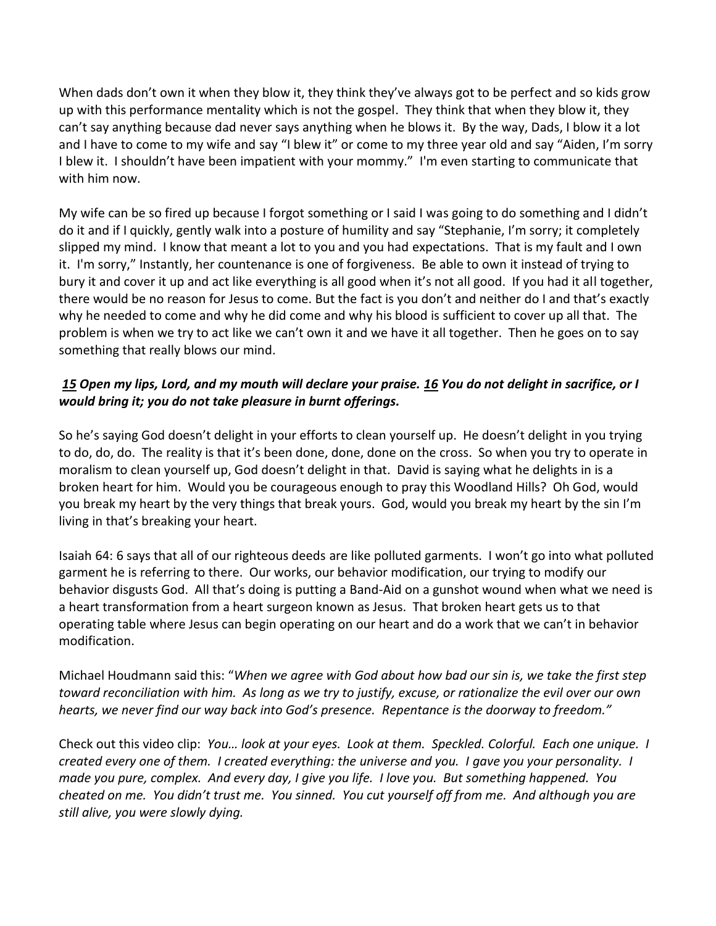When dads don't own it when they blow it, they think they've always got to be perfect and so kids grow up with this performance mentality which is not the gospel. They think that when they blow it, they can't say anything because dad never says anything when he blows it. By the way, Dads, I blow it a lot and I have to come to my wife and say "I blew it" or come to my three year old and say "Aiden, I'm sorry I blew it. I shouldn't have been impatient with your mommy." I'm even starting to communicate that with him now.

My wife can be so fired up because I forgot something or I said I was going to do something and I didn't do it and if I quickly, gently walk into a posture of humility and say "Stephanie, I'm sorry; it completely slipped my mind. I know that meant a lot to you and you had expectations. That is my fault and I own it. I'm sorry," Instantly, her countenance is one of forgiveness. Be able to own it instead of trying to bury it and cover it up and act like everything is all good when it's not all good. If you had it all together, there would be no reason for Jesus to come. But the fact is you don't and neither do I and that's exactly why he needed to come and why he did come and why his blood is sufficient to cover up all that. The problem is when we try to act like we can't own it and we have it all together. Then he goes on to say something that really blows our mind.

# *[15](http://www.studylight.org/desk/?q=ps%2051:15&t1=en_niv&sr=1) Open my lips, Lord, and my mouth will declare your praise. [16](http://www.studylight.org/desk/?q=ps%2051:16&t1=en_niv&sr=1) You do not delight in sacrifice, or I would bring it; you do not take pleasure in burnt offerings.*

So he's saying God doesn't delight in your efforts to clean yourself up. He doesn't delight in you trying to do, do, do. The reality is that it's been done, done, done on the cross. So when you try to operate in moralism to clean yourself up, God doesn't delight in that. David is saying what he delights in is a broken heart for him. Would you be courageous enough to pray this Woodland Hills? Oh God, would you break my heart by the very things that break yours. God, would you break my heart by the sin I'm living in that's breaking your heart.

Isaiah 64: 6 says that all of our righteous deeds are like polluted garments. I won't go into what polluted garment he is referring to there. Our works, our behavior modification, our trying to modify our behavior disgusts God. All that's doing is putting a Band-Aid on a gunshot wound when what we need is a heart transformation from a heart surgeon known as Jesus. That broken heart gets us to that operating table where Jesus can begin operating on our heart and do a work that we can't in behavior modification.

Michael Houdmann said this: "*When we agree with God about how bad our sin is, we take the first step toward reconciliation with him. As long as we try to justify, excuse, or rationalize the evil over our own hearts, we never find our way back into God's presence. Repentance is the doorway to freedom."* 

Check out this video clip: *You… look at your eyes. Look at them. Speckled. Colorful. Each one unique. I created every one of them. I created everything: the universe and you. I gave you your personality. I made you pure, complex. And every day, I give you life. I love you. But something happened. You cheated on me. You didn't trust me. You sinned. You cut yourself off from me. And although you are still alive, you were slowly dying.*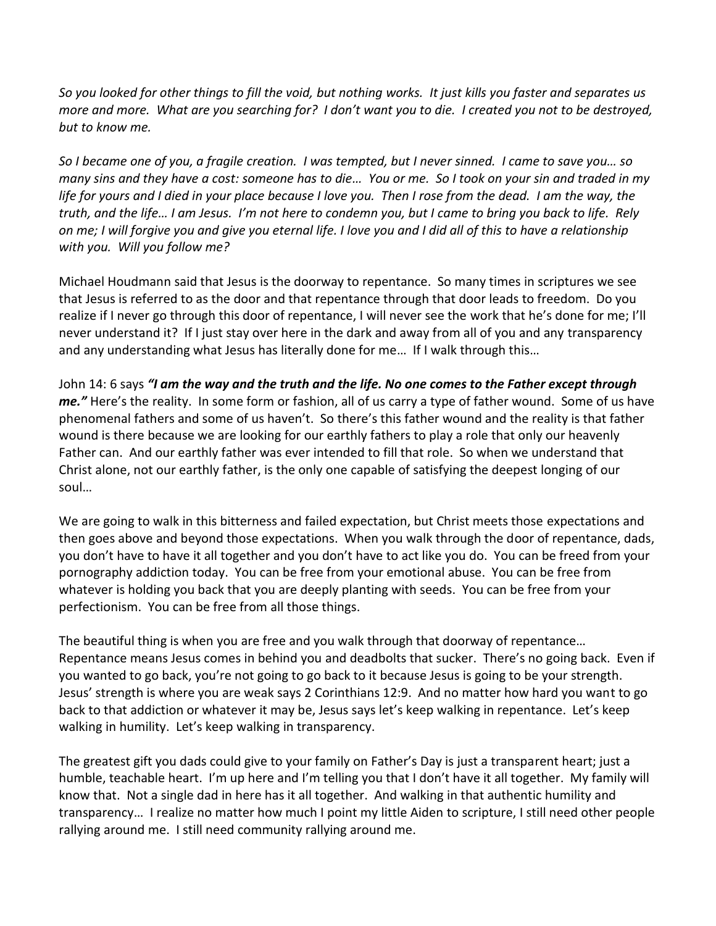*So you looked for other things to fill the void, but nothing works. It just kills you faster and separates us more and more. What are you searching for? I don't want you to die. I created you not to be destroyed, but to know me.* 

*So I became one of you, a fragile creation. I was tempted, but I never sinned. I came to save you… so many sins and they have a cost: someone has to die… You or me. So I took on your sin and traded in my life for yours and I died in your place because I love you. Then I rose from the dead. I am the way, the truth, and the life… I am Jesus. I'm not here to condemn you, but I came to bring you back to life. Rely on me; I will forgive you and give you eternal life. I love you and I did all of this to have a relationship with you. Will you follow me?*

Michael Houdmann said that Jesus is the doorway to repentance. So many times in scriptures we see that Jesus is referred to as the door and that repentance through that door leads to freedom. Do you realize if I never go through this door of repentance, I will never see the work that he's done for me; I'll never understand it? If I just stay over here in the dark and away from all of you and any transparency and any understanding what Jesus has literally done for me… If I walk through this…

John 14: 6 says *"I am the way and the truth and the life. No one comes to the Father except through me."* Here's the reality. In some form or fashion, all of us carry a type of father wound. Some of us have phenomenal fathers and some of us haven't. So there's this father wound and the reality is that father wound is there because we are looking for our earthly fathers to play a role that only our heavenly Father can. And our earthly father was ever intended to fill that role. So when we understand that Christ alone, not our earthly father, is the only one capable of satisfying the deepest longing of our soul…

We are going to walk in this bitterness and failed expectation, but Christ meets those expectations and then goes above and beyond those expectations. When you walk through the door of repentance, dads, you don't have to have it all together and you don't have to act like you do. You can be freed from your pornography addiction today. You can be free from your emotional abuse. You can be free from whatever is holding you back that you are deeply planting with seeds. You can be free from your perfectionism. You can be free from all those things.

The beautiful thing is when you are free and you walk through that doorway of repentance… Repentance means Jesus comes in behind you and deadbolts that sucker. There's no going back. Even if you wanted to go back, you're not going to go back to it because Jesus is going to be your strength. Jesus' strength is where you are weak says 2 Corinthians 12:9. And no matter how hard you want to go back to that addiction or whatever it may be, Jesus says let's keep walking in repentance. Let's keep walking in humility. Let's keep walking in transparency.

The greatest gift you dads could give to your family on Father's Day is just a transparent heart; just a humble, teachable heart. I'm up here and I'm telling you that I don't have it all together. My family will know that. Not a single dad in here has it all together. And walking in that authentic humility and transparency… I realize no matter how much I point my little Aiden to scripture, I still need other people rallying around me. I still need community rallying around me.